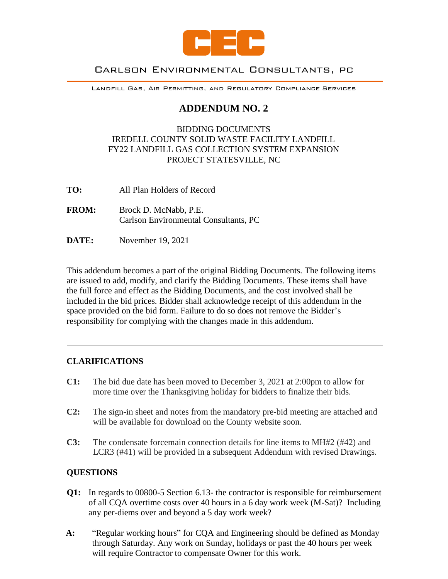

# Carlson Environmental Consultants, pc

Landfill Gas, Air Permitting, and Regulatory Compliance Services

# **ADDENDUM NO. 2**

## BIDDING DOCUMENTS IREDELL COUNTY SOLID WASTE FACILITY LANDFILL FY22 LANDFILL GAS COLLECTION SYSTEM EXPANSION PROJECT STATESVILLE, NC

- **TO:** All Plan Holders of Record
- **FROM:** Brock D. McNabb, P.E. Carlson Environmental Consultants, PC
- **DATE:** November 19, 2021

This addendum becomes a part of the original Bidding Documents. The following items are issued to add, modify, and clarify the Bidding Documents. These items shall have the full force and effect as the Bidding Documents, and the cost involved shall be included in the bid prices. Bidder shall acknowledge receipt of this addendum in the space provided on the bid form. Failure to do so does not remove the Bidder's responsibility for complying with the changes made in this addendum.

# **CLARIFICATIONS**

- **C1:** The bid due date has been moved to December 3, 2021 at 2:00pm to allow for more time over the Thanksgiving holiday for bidders to finalize their bids.
- **C2:** The sign-in sheet and notes from the mandatory pre-bid meeting are attached and will be available for download on the County website soon.
- **C3:** The condensate forcemain connection details for line items to MH#2 (#42) and LCR3 (#41) will be provided in a subsequent Addendum with revised Drawings.

# **QUESTIONS**

- **Q1:** In regards to 00800-5 Section 6.13- the contractor is responsible for reimbursement of all CQA overtime costs over 40 hours in a 6 day work week (M-Sat)? Including any per-diems over and beyond a 5 day work week?
- **A:** "Regular working hours" for CQA and Engineering should be defined as Monday through Saturday. Any work on Sunday, holidays or past the 40 hours per week will require Contractor to compensate Owner for this work.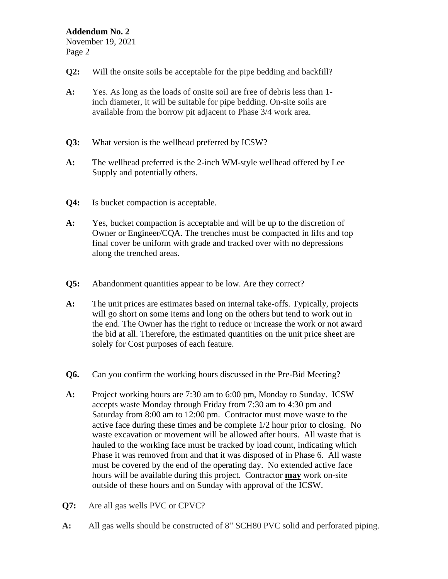## **Addendum No. 2**

November 19, 2021 Page 2

- **Q2:** Will the onsite soils be acceptable for the pipe bedding and backfill?
- **A:** Yes. As long as the loads of onsite soil are free of debris less than 1 inch diameter, it will be suitable for pipe bedding. On-site soils are available from the borrow pit adjacent to Phase 3/4 work area.
- **Q3:** What version is the wellhead preferred by ICSW?
- **A:** The wellhead preferred is the 2-inch WM-style wellhead offered by Lee Supply and potentially others.
- **Q4:** Is bucket compaction is acceptable.
- **A:** Yes, bucket compaction is acceptable and will be up to the discretion of Owner or Engineer/CQA. The trenches must be compacted in lifts and top final cover be uniform with grade and tracked over with no depressions along the trenched areas.
- **Q5:** Abandonment quantities appear to be low. Are they correct?
- **A:** The unit prices are estimates based on internal take-offs. Typically, projects will go short on some items and long on the others but tend to work out in the end. The Owner has the right to reduce or increase the work or not award the bid at all. Therefore, the estimated quantities on the unit price sheet are solely for Cost purposes of each feature.
- **Q6.** Can you confirm the working hours discussed in the Pre-Bid Meeting?
- **A:** Project working hours are 7:30 am to 6:00 pm, Monday to Sunday. ICSW accepts waste Monday through Friday from 7:30 am to 4:30 pm and Saturday from 8:00 am to 12:00 pm. Contractor must move waste to the active face during these times and be complete 1/2 hour prior to closing. No waste excavation or movement will be allowed after hours. All waste that is hauled to the working face must be tracked by load count, indicating which Phase it was removed from and that it was disposed of in Phase 6. All waste must be covered by the end of the operating day. No extended active face hours will be available during this project. Contractor **may** work on-site outside of these hours and on Sunday with approval of the ICSW.
- **Q7:** Are all gas wells PVC or CPVC?
- **A:** All gas wells should be constructed of 8" SCH80 PVC solid and perforated piping.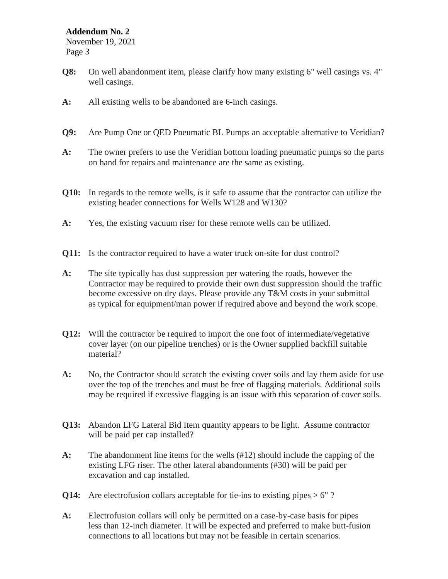### **Addendum No. 2**

November 19, 2021 Page 3

- **Q8:** On well abandonment item, please clarify how many existing 6" well casings vs. 4" well casings.
- **A:** All existing wells to be abandoned are 6-inch casings.
- **Q9:** Are Pump One or QED Pneumatic BL Pumps an acceptable alternative to Veridian?
- **A:** The owner prefers to use the Veridian bottom loading pneumatic pumps so the parts on hand for repairs and maintenance are the same as existing.
- **Q10:** In regards to the remote wells, is it safe to assume that the contractor can utilize the existing header connections for Wells W128 and W130?
- **A:** Yes, the existing vacuum riser for these remote wells can be utilized.
- **Q11:** Is the contractor required to have a water truck on-site for dust control?
- **A:** The site typically has dust suppression per watering the roads, however the Contractor may be required to provide their own dust suppression should the traffic become excessive on dry days. Please provide any T&M costs in your submittal as typical for equipment/man power if required above and beyond the work scope.
- **Q12:** Will the contractor be required to import the one foot of intermediate/vegetative cover layer (on our pipeline trenches) or is the Owner supplied backfill suitable material?
- **A:** No, the Contractor should scratch the existing cover soils and lay them aside for use over the top of the trenches and must be free of flagging materials. Additional soils may be required if excessive flagging is an issue with this separation of cover soils.
- **Q13:** Abandon LFG Lateral Bid Item quantity appears to be light. Assume contractor will be paid per cap installed?
- **A:** The abandonment line items for the wells (#12) should include the capping of the existing LFG riser. The other lateral abandonments (#30) will be paid per excavation and cap installed.
- **Q14:** Are electrofusion collars acceptable for tie-ins to existing pipes  $> 6"$ ?
- **A:** Electrofusion collars will only be permitted on a case-by-case basis for pipes less than 12-inch diameter. It will be expected and preferred to make butt-fusion connections to all locations but may not be feasible in certain scenarios.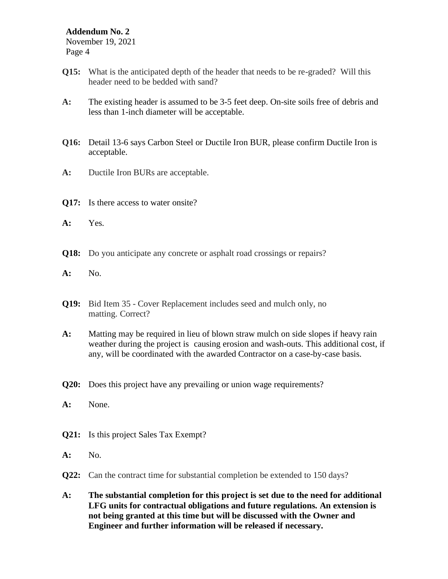#### **Addendum No. 2**

November 19, 2021 Page 4

- **Q15:** What is the anticipated depth of the header that needs to be re-graded? Will this header need to be bedded with sand?
- **A:** The existing header is assumed to be 3-5 feet deep. On-site soils free of debris and less than 1-inch diameter will be acceptable.
- **Q16:** Detail 13-6 says Carbon Steel or Ductile Iron BUR, please confirm Ductile Iron is acceptable.
- **A:** Ductile Iron BURs are acceptable.
- **Q17:** Is there access to water onsite?
- **A:** Yes.
- **Q18:** Do you anticipate any concrete or asphalt road crossings or repairs?
- **A:** No.
- **Q19:** Bid Item 35 Cover Replacement includes seed and mulch only, no matting. Correct?
- **A:** Matting may be required in lieu of blown straw mulch on side slopes if heavy rain weather during the project is causing erosion and wash-outs. This additional cost, if any, will be coordinated with the awarded Contractor on a case-by-case basis.
- **Q20:** Does this project have any prevailing or union wage requirements?
- **A:** None.
- **Q21:** Is this project Sales Tax Exempt?
- **A:** No.
- **Q22:** Can the contract time for substantial completion be extended to 150 days?
- **A: The substantial completion for this project is set due to the need for additional LFG units for contractual obligations and future regulations. An extension is not being granted at this time but will be discussed with the Owner and Engineer and further information will be released if necessary.**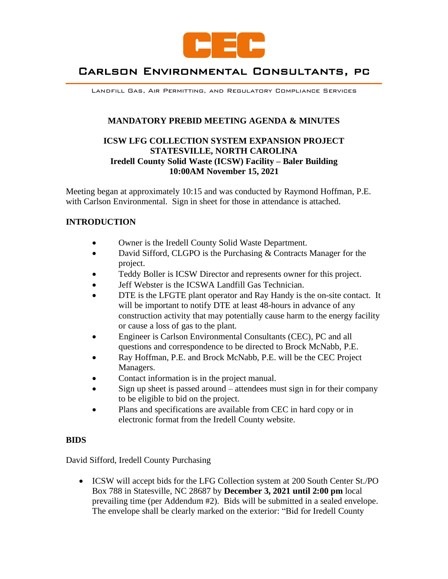

# Carlson Environmental Consultants, pc

Landfill Gas, Air Permitting, and Regulatory Compliance Services

## **MANDATORY PREBID MEETING AGENDA & MINUTES**

## **ICSW LFG COLLECTION SYSTEM EXPANSION PROJECT STATESVILLE, NORTH CAROLINA Iredell County Solid Waste (ICSW) Facility – Baler Building 10:00AM November 15, 2021**

Meeting began at approximately 10:15 and was conducted by Raymond Hoffman, P.E. with Carlson Environmental. Sign in sheet for those in attendance is attached.

# **INTRODUCTION**

- Owner is the Iredell County Solid Waste Department.
- David Sifford, CLGPO is the Purchasing & Contracts Manager for the project.
- Teddy Boller is ICSW Director and represents owner for this project.
- Jeff Webster is the ICSWA Landfill Gas Technician.
- DTE is the LFGTE plant operator and Ray Handy is the on-site contact. It will be important to notify DTE at least 48-hours in advance of any construction activity that may potentially cause harm to the energy facility or cause a loss of gas to the plant.
- Engineer is Carlson Environmental Consultants (CEC), PC and all questions and correspondence to be directed to Brock McNabb, P.E.
- Ray Hoffman, P.E. and Brock McNabb, P.E. will be the CEC Project Managers.
- Contact information is in the project manual.
- Sign up sheet is passed around attendees must sign in for their company to be eligible to bid on the project.
- Plans and specifications are available from CEC in hard copy or in electronic format from the Iredell County website.

#### **BIDS**

David Sifford, Iredell County Purchasing

• ICSW will accept bids for the LFG Collection system at 200 South Center St./PO Box 788 in Statesville, NC 28687 by **December 3, 2021 until 2:00 pm** local prevailing time (per Addendum #2). Bids will be submitted in a sealed envelope. The envelope shall be clearly marked on the exterior: "Bid for Iredell County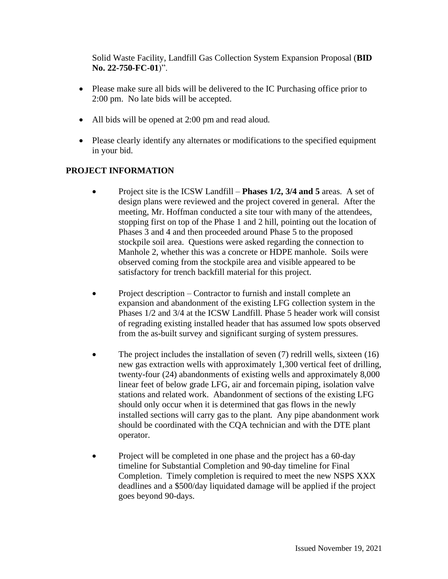Solid Waste Facility, Landfill Gas Collection System Expansion Proposal (**BID No. 22-750-FC-01**)".

- Please make sure all bids will be delivered to the IC Purchasing office prior to 2:00 pm. No late bids will be accepted.
- All bids will be opened at 2:00 pm and read aloud.
- Please clearly identify any alternates or modifications to the specified equipment in your bid.

# **PROJECT INFORMATION**

- Project site is the ICSW Landfill **Phases 1/2, 3/4 and 5** areas. A set of design plans were reviewed and the project covered in general. After the meeting, Mr. Hoffman conducted a site tour with many of the attendees, stopping first on top of the Phase 1 and 2 hill, pointing out the location of Phases 3 and 4 and then proceeded around Phase 5 to the proposed stockpile soil area. Questions were asked regarding the connection to Manhole 2, whether this was a concrete or HDPE manhole. Soils were observed coming from the stockpile area and visible appeared to be satisfactory for trench backfill material for this project.
- Project description Contractor to furnish and install complete an expansion and abandonment of the existing LFG collection system in the Phases 1/2 and 3/4 at the ICSW Landfill. Phase 5 header work will consist of regrading existing installed header that has assumed low spots observed from the as-built survey and significant surging of system pressures.
- The project includes the installation of seven (7) redrill wells, sixteen (16) new gas extraction wells with approximately 1,300 vertical feet of drilling, twenty-four (24) abandonments of existing wells and approximately 8,000 linear feet of below grade LFG, air and forcemain piping, isolation valve stations and related work. Abandonment of sections of the existing LFG should only occur when it is determined that gas flows in the newly installed sections will carry gas to the plant. Any pipe abandonment work should be coordinated with the CQA technician and with the DTE plant operator.
- Project will be completed in one phase and the project has a 60-day timeline for Substantial Completion and 90-day timeline for Final Completion. Timely completion is required to meet the new NSPS XXX deadlines and a \$500/day liquidated damage will be applied if the project goes beyond 90-days.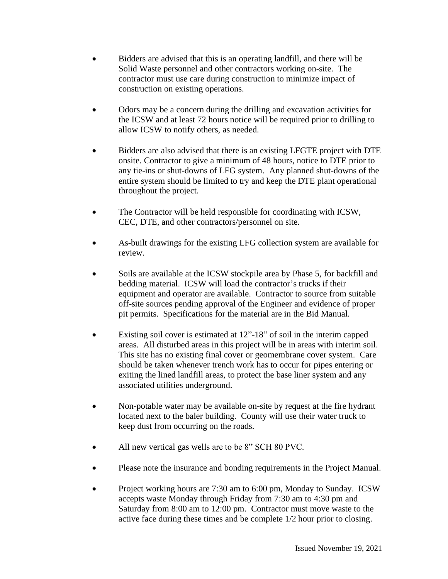- Bidders are advised that this is an operating landfill, and there will be Solid Waste personnel and other contractors working on-site. The contractor must use care during construction to minimize impact of construction on existing operations.
- Odors may be a concern during the drilling and excavation activities for the ICSW and at least 72 hours notice will be required prior to drilling to allow ICSW to notify others, as needed.
- Bidders are also advised that there is an existing LFGTE project with DTE onsite. Contractor to give a minimum of 48 hours, notice to DTE prior to any tie-ins or shut-downs of LFG system. Any planned shut-downs of the entire system should be limited to try and keep the DTE plant operational throughout the project.
- The Contractor will be held responsible for coordinating with ICSW, CEC, DTE, and other contractors/personnel on site.
- As-built drawings for the existing LFG collection system are available for review.
- Soils are available at the ICSW stockpile area by Phase 5, for backfill and bedding material. ICSW will load the contractor's trucks if their equipment and operator are available. Contractor to source from suitable off-site sources pending approval of the Engineer and evidence of proper pit permits. Specifications for the material are in the Bid Manual.
- Existing soil cover is estimated at 12"-18" of soil in the interim capped areas. All disturbed areas in this project will be in areas with interim soil. This site has no existing final cover or geomembrane cover system. Care should be taken whenever trench work has to occur for pipes entering or exiting the lined landfill areas, to protect the base liner system and any associated utilities underground.
- Non-potable water may be available on-site by request at the fire hydrant located next to the baler building. County will use their water truck to keep dust from occurring on the roads.
- All new vertical gas wells are to be 8" SCH 80 PVC.
- Please note the insurance and bonding requirements in the Project Manual.
- Project working hours are 7:30 am to 6:00 pm, Monday to Sunday. ICSW accepts waste Monday through Friday from 7:30 am to 4:30 pm and Saturday from 8:00 am to 12:00 pm. Contractor must move waste to the active face during these times and be complete 1/2 hour prior to closing.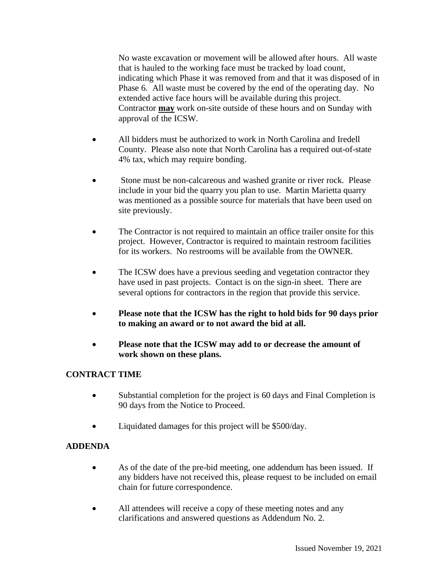No waste excavation or movement will be allowed after hours. All waste that is hauled to the working face must be tracked by load count, indicating which Phase it was removed from and that it was disposed of in Phase 6. All waste must be covered by the end of the operating day. No extended active face hours will be available during this project. Contractor **may** work on-site outside of these hours and on Sunday with approval of the ICSW.

- All bidders must be authorized to work in North Carolina and Iredell County. Please also note that North Carolina has a required out-of-state 4% tax, which may require bonding.
- Stone must be non-calcareous and washed granite or river rock. Please include in your bid the quarry you plan to use. Martin Marietta quarry was mentioned as a possible source for materials that have been used on site previously.
- The Contractor is not required to maintain an office trailer onsite for this project. However, Contractor is required to maintain restroom facilities for its workers. No restrooms will be available from the OWNER.
- The ICSW does have a previous seeding and vegetation contractor they have used in past projects. Contact is on the sign-in sheet. There are several options for contractors in the region that provide this service.
- **Please note that the ICSW has the right to hold bids for 90 days prior to making an award or to not award the bid at all.**
- **Please note that the ICSW may add to or decrease the amount of work shown on these plans.**

# **CONTRACT TIME**

- Substantial completion for the project is 60 days and Final Completion is 90 days from the Notice to Proceed.
- Liquidated damages for this project will be \$500/day.

# **ADDENDA**

- As of the date of the pre-bid meeting, one addendum has been issued. If any bidders have not received this, please request to be included on email chain for future correspondence.
- All attendees will receive a copy of these meeting notes and any clarifications and answered questions as Addendum No. 2.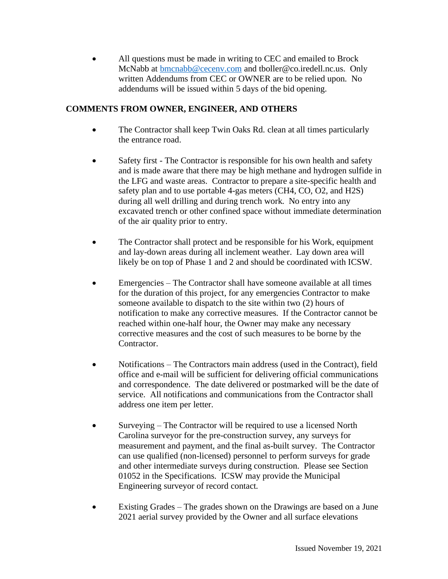• All questions must be made in writing to CEC and emailed to Brock McNabb at [bmcnabb@cecenv.com](mailto:bmcnabb@cecenv.com) and tboller@co.iredell.nc.us. Only written Addendums from CEC or OWNER are to be relied upon. No addendums will be issued within 5 days of the bid opening.

# **COMMENTS FROM OWNER, ENGINEER, AND OTHERS**

- The Contractor shall keep Twin Oaks Rd. clean at all times particularly the entrance road.
- Safety first The Contractor is responsible for his own health and safety and is made aware that there may be high methane and hydrogen sulfide in the LFG and waste areas. Contractor to prepare a site-specific health and safety plan and to use portable 4-gas meters (CH4, CO, O2, and H2S) during all well drilling and during trench work. No entry into any excavated trench or other confined space without immediate determination of the air quality prior to entry.
- The Contractor shall protect and be responsible for his Work, equipment and lay-down areas during all inclement weather. Lay down area will likely be on top of Phase 1 and 2 and should be coordinated with ICSW.
- Emergencies The Contractor shall have someone available at all times for the duration of this project, for any emergencies Contractor to make someone available to dispatch to the site within two (2) hours of notification to make any corrective measures. If the Contractor cannot be reached within one-half hour, the Owner may make any necessary corrective measures and the cost of such measures to be borne by the Contractor.
- Notifications The Contractors main address (used in the Contract), field office and e-mail will be sufficient for delivering official communications and correspondence. The date delivered or postmarked will be the date of service. All notifications and communications from the Contractor shall address one item per letter.
- Surveying The Contractor will be required to use a licensed North Carolina surveyor for the pre-construction survey, any surveys for measurement and payment, and the final as-built survey. The Contractor can use qualified (non-licensed) personnel to perform surveys for grade and other intermediate surveys during construction. Please see Section 01052 in the Specifications. ICSW may provide the Municipal Engineering surveyor of record contact.
- Existing Grades The grades shown on the Drawings are based on a June 2021 aerial survey provided by the Owner and all surface elevations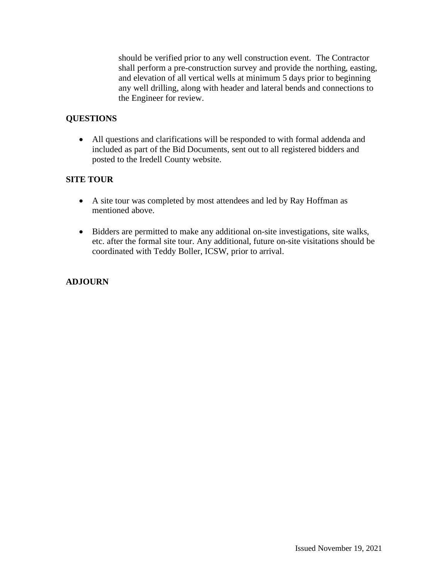should be verified prior to any well construction event. The Contractor shall perform a pre-construction survey and provide the northing, easting, and elevation of all vertical wells at minimum 5 days prior to beginning any well drilling, along with header and lateral bends and connections to the Engineer for review.

## **QUESTIONS**

• All questions and clarifications will be responded to with formal addenda and included as part of the Bid Documents, sent out to all registered bidders and posted to the Iredell County website.

### **SITE TOUR**

- A site tour was completed by most attendees and led by Ray Hoffman as mentioned above.
- Bidders are permitted to make any additional on-site investigations, site walks, etc. after the formal site tour. Any additional, future on-site visitations should be coordinated with Teddy Boller, ICSW, prior to arrival.

# **ADJOURN**